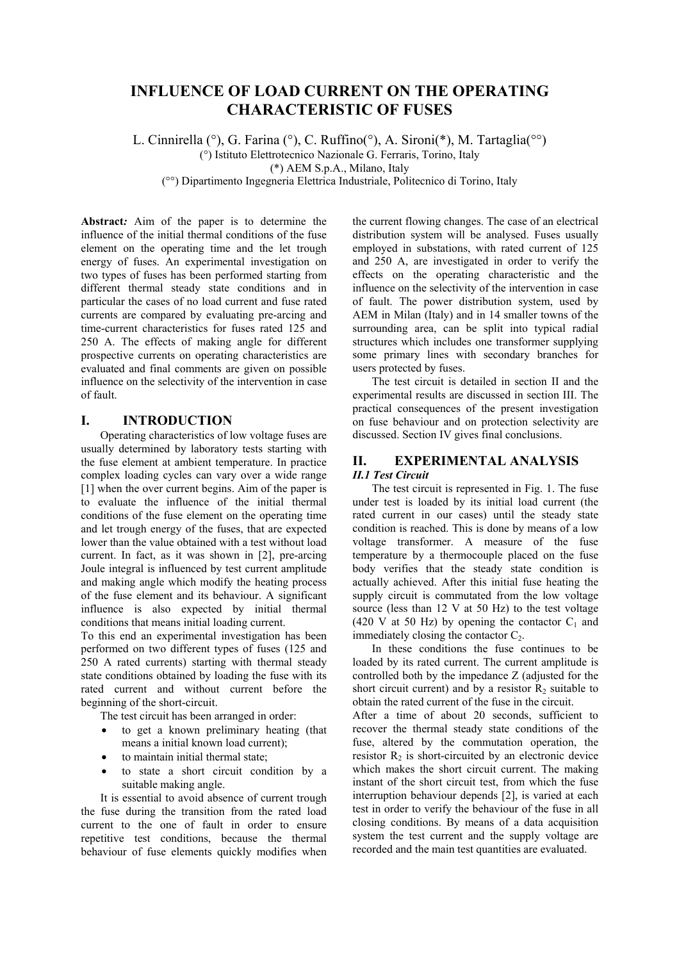# **INFLUENCE OF LOAD CURRENT ON THE OPERATING CHARACTERISTIC OF FUSES**

L. Cinnirella (°), G. Farina (°), C. Ruffino(°), A. Sironi(\*), M. Tartaglia(°°)

(°) Istituto Elettrotecnico Nazionale G. Ferraris, Torino, Italy

(\*) AEM S.p.A., Milano, Italy

(°°) Dipartimento Ingegneria Elettrica Industriale, Politecnico di Torino, Italy

**Abstract***:* Aim of the paper is to determine the influence of the initial thermal conditions of the fuse element on the operating time and the let trough energy of fuses. An experimental investigation on two types of fuses has been performed starting from different thermal steady state conditions and in particular the cases of no load current and fuse rated currents are compared by evaluating pre-arcing and time-current characteristics for fuses rated 125 and 250 A. The effects of making angle for different prospective currents on operating characteristics are evaluated and final comments are given on possible influence on the selectivity of the intervention in case of fault.

## **I. INTRODUCTION**

Operating characteristics of low voltage fuses are usually determined by laboratory tests starting with the fuse element at ambient temperature. In practice complex loading cycles can vary over a wide range [1] when the over current begins. Aim of the paper is to evaluate the influence of the initial thermal conditions of the fuse element on the operating time and let trough energy of the fuses, that are expected lower than the value obtained with a test without load current. In fact, as it was shown in [2], pre-arcing Joule integral is influenced by test current amplitude and making angle which modify the heating process of the fuse element and its behaviour. A significant influence is also expected by initial thermal conditions that means initial loading current.

To this end an experimental investigation has been performed on two different types of fuses (125 and 250 A rated currents) starting with thermal steady state conditions obtained by loading the fuse with its rated current and without current before the beginning of the short-circuit.

The test circuit has been arranged in order:

- to get a known preliminary heating (that means a initial known load current);
- to maintain initial thermal state;
- to state a short circuit condition by a suitable making angle.

It is essential to avoid absence of current trough the fuse during the transition from the rated load current to the one of fault in order to ensure repetitive test conditions, because the thermal behaviour of fuse elements quickly modifies when

the current flowing changes. The case of an electrical distribution system will be analysed. Fuses usually employed in substations, with rated current of 125 and 250 A, are investigated in order to verify the effects on the operating characteristic and the influence on the selectivity of the intervention in case of fault. The power distribution system, used by AEM in Milan (Italy) and in 14 smaller towns of the surrounding area, can be split into typical radial structures which includes one transformer supplying some primary lines with secondary branches for users protected by fuses.

The test circuit is detailed in section II and the experimental results are discussed in section III. The practical consequences of the present investigation on fuse behaviour and on protection selectivity are discussed. Section IV gives final conclusions.

## **II. EXPERIMENTAL ANALYSIS**  *II.1 Test Circuit*

The test circuit is represented in Fig. 1. The fuse under test is loaded by its initial load current (the rated current in our cases) until the steady state condition is reached. This is done by means of a low voltage transformer. A measure of the fuse temperature by a thermocouple placed on the fuse body verifies that the steady state condition is actually achieved. After this initial fuse heating the supply circuit is commutated from the low voltage source (less than 12 V at 50 Hz) to the test voltage  $(420 \text{ V at } 50 \text{ Hz})$  by opening the contactor  $C_1$  and immediately closing the contactor  $C_2$ .

In these conditions the fuse continues to be loaded by its rated current. The current amplitude is controlled both by the impedance Z (adjusted for the short circuit current) and by a resistor  $R<sub>2</sub>$  suitable to obtain the rated current of the fuse in the circuit.

After a time of about 20 seconds, sufficient to recover the thermal steady state conditions of the fuse, altered by the commutation operation, the resistor  $R_2$  is short-circuited by an electronic device which makes the short circuit current. The making instant of the short circuit test, from which the fuse interruption behaviour depends [2], is varied at each test in order to verify the behaviour of the fuse in all closing conditions. By means of a data acquisition system the test current and the supply voltage are recorded and the main test quantities are evaluated.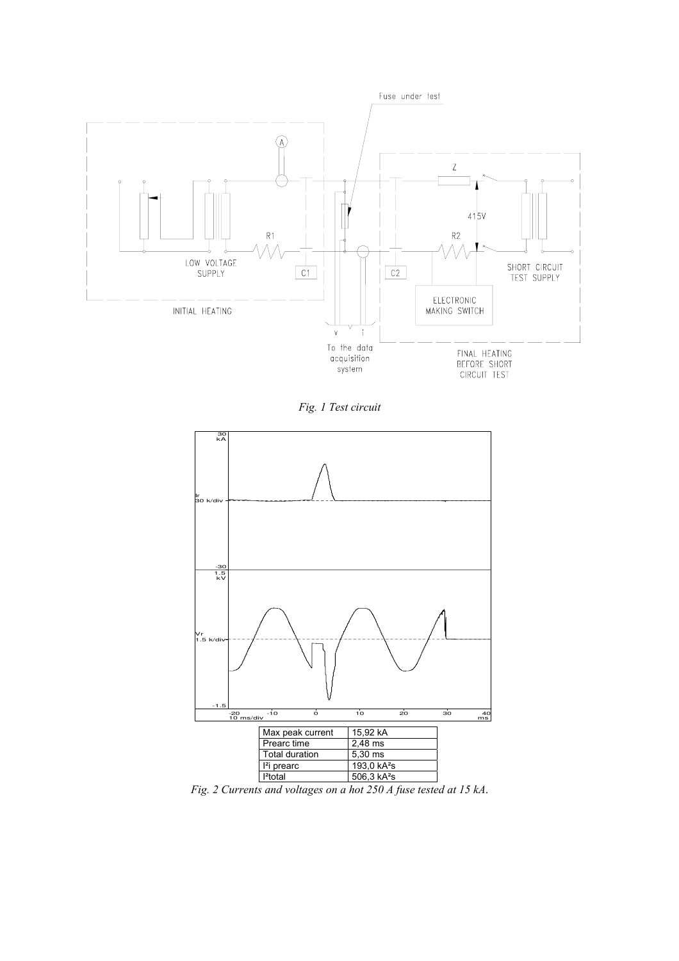

*Fig. 1 Test circuit* 



*Fig. 2 Currents and voltages on a hot 250 A fuse tested at 15 kA*.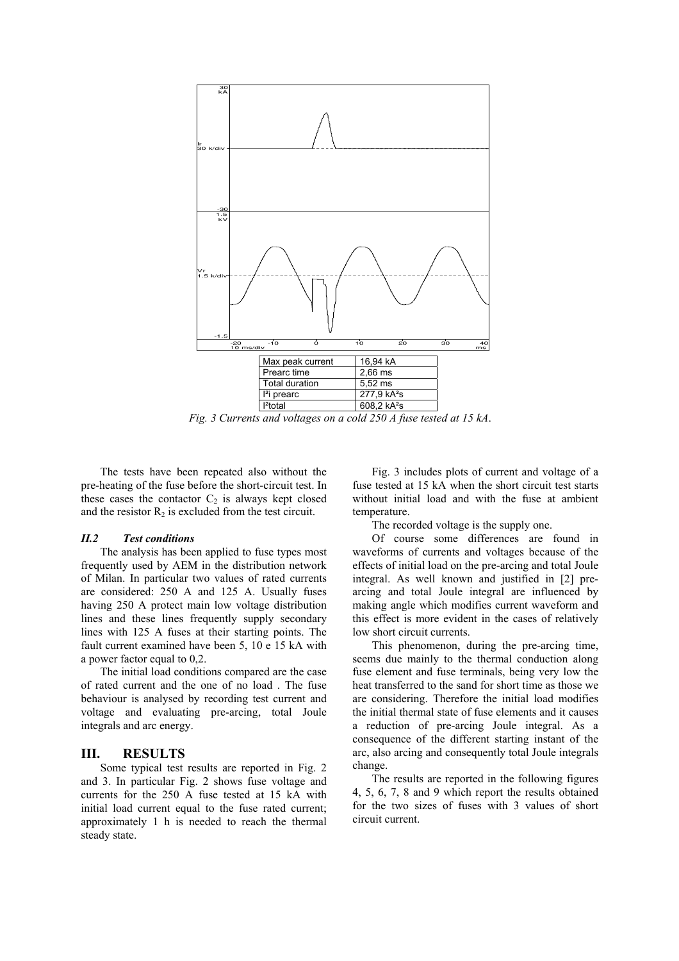

*Fig. 3 Currents and voltages on a cold 250 A fuse tested at 15 kA*.

The tests have been repeated also without the pre-heating of the fuse before the short-circuit test. In these cases the contactor  $C_2$  is always kept closed and the resistor  $R_2$  is excluded from the test circuit.

#### *II.2 Test conditions*

The analysis has been applied to fuse types most frequently used by AEM in the distribution network of Milan. In particular two values of rated currents are considered: 250 A and 125 A. Usually fuses having 250 A protect main low voltage distribution lines and these lines frequently supply secondary lines with 125 A fuses at their starting points. The fault current examined have been 5, 10 e 15 kA with a power factor equal to 0,2.

The initial load conditions compared are the case of rated current and the one of no load . The fuse behaviour is analysed by recording test current and voltage and evaluating pre-arcing, total Joule integrals and arc energy.

### **III. RESULTS**

Some typical test results are reported in Fig. 2 and 3. In particular Fig. 2 shows fuse voltage and currents for the 250 A fuse tested at 15 kA with initial load current equal to the fuse rated current; approximately 1 h is needed to reach the thermal steady state.

Fig. 3 includes plots of current and voltage of a fuse tested at 15 kA when the short circuit test starts without initial load and with the fuse at ambient temperature.

The recorded voltage is the supply one.

Of course some differences are found in waveforms of currents and voltages because of the effects of initial load on the pre-arcing and total Joule integral. As well known and justified in [2] prearcing and total Joule integral are influenced by making angle which modifies current waveform and this effect is more evident in the cases of relatively low short circuit currents.

This phenomenon, during the pre-arcing time, seems due mainly to the thermal conduction along fuse element and fuse terminals, being very low the heat transferred to the sand for short time as those we are considering. Therefore the initial load modifies the initial thermal state of fuse elements and it causes a reduction of pre-arcing Joule integral. As a consequence of the different starting instant of the arc, also arcing and consequently total Joule integrals change.

The results are reported in the following figures 4, 5, 6, 7, 8 and 9 which report the results obtained for the two sizes of fuses with 3 values of short circuit current.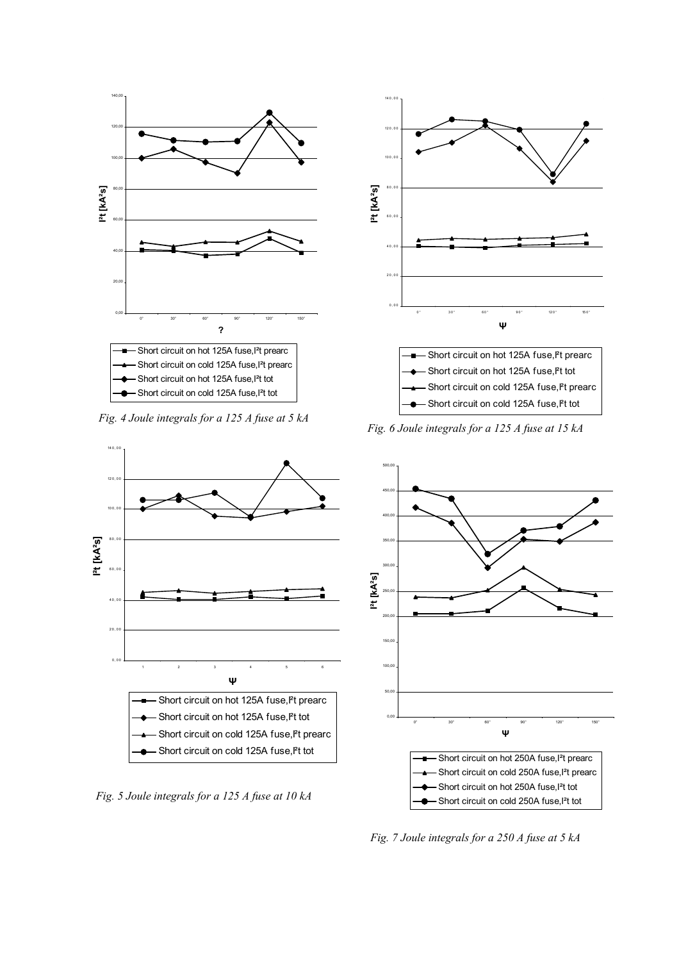

*Fig. 4 Joule integrals for a 125 A fuse at 5 kA* 



*Fig. 5 Joule integrals for a 125 A fuse at 10 kA* 



*Fig. 6 Joule integrals for a 125 A fuse at 15 kA* 



*Fig. 7 Joule integrals for a 250 A fuse at 5 kA*